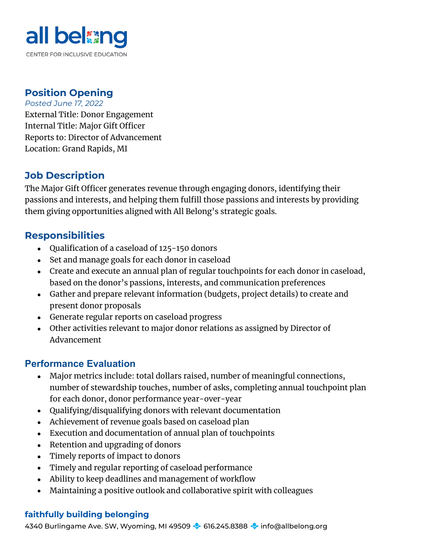

# **Position Opening**

*Posted June 17, 2022* External Title: Donor Engagement Internal Title: Major Gift Officer Reports to: Director of Advancement Location: Grand Rapids, MI

## **Job Description**

The Major Gift Officer generates revenue through engaging donors, identifying their passions and interests, and helping them fulfill those passions and interests by providing them giving opportunities aligned with All Belong's strategic goals.

# **Responsibilities**

- Qualification of a caseload of 125-150 donors
- Set and manage goals for each donor in caseload
- Create and execute an annual plan of regular touchpoints for each donor in caseload, based on the donor's passions, interests, and communication preferences
- Gather and prepare relevant information (budgets, project details) to create and present donor proposals
- Generate regular reports on caseload progress
- Other activities relevant to major donor relations as assigned by Director of Advancement

## **Performance Evaluation**

- Major metrics include: total dollars raised, number of meaningful connections, number of stewardship touches, number of asks, completing annual touchpoint plan for each donor, donor performance year-over-year
- Qualifying/disqualifying donors with relevant documentation
- Achievement of revenue goals based on caseload plan
- Execution and documentation of annual plan of touchpoints
- Retention and upgrading of donors
- Timely reports of impact to donors
- Timely and regular reporting of caseload performance
- Ability to keep deadlines and management of workflow
- Maintaining a positive outlook and collaborative spirit with colleagues

#### **faithfully building belonging**

4340 Burlingame Ave. SW, Wyoming, MI 49509  $\blacklozenge$  616.245.8388  $\blacklozenge$  info@allbelong.org